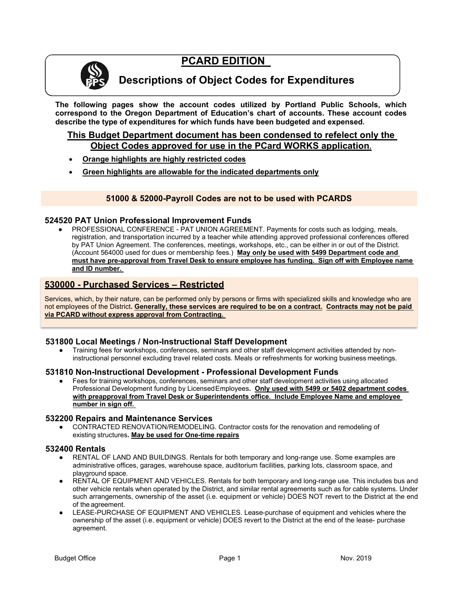# **PCARD EDITION**



# **Descriptions of Object Codes for Expenditures**

**The following pages show the account codes utilized by Portland Public Schools, which correspond to the Oregon Department of Education's chart of accounts. These account codes describe the type of expenditures for which funds have been budgeted and expensed.**

# **This Budget Department document has been condensed to refelect only the Object Codes approved for use in the PCard WORKS application.**

- **Orange highlights are highly restricted codes**
- **Green highlights are allowable for the indicated departments only**

# **51000 & 52000-Payroll Codes are not to be used with PCARDS**

# **524520 PAT Union Professional Improvement Funds**

PROFESSIONAL CONFERENCE - PAT UNION AGREEMENT. Payments for costs such as lodging, meals, registration, and transportation incurred by a teacher while attending approved professional conferences offered by PAT Union Agreement. The conferences, meetings, workshops, etc., can be either in or out of the District. (Account 564000 used for dues or membership fees.) **May only be used with 5499 Department code and must have pre-approval from Travel Desk to ensure employee has funding. Sign off with Employee name and ID number.** 

# **530000 - Purchased Services – Restricted**

Services, which, by their nature, can be performed only by persons or firms with specialized skills and knowledge who are not employees of the District**. Generally, these services are required to be on a contract. Contracts may not be paid via PCARD without express approval from Contracting.**

# **531800 Local Meetings / Non-Instructional Staff Development**

Training fees for workshops, conferences, seminars and other staff development activities attended by noninstructional personnel excluding travel related costs. Meals or refreshments for working business meetings.

#### **531810 Non-Instructional Development - Professional Development Funds**

Fees for training workshops, conferences, seminars and other staff development activities using allocated Professional Development funding by LicensedEmployees**. Only used with 5499 or 5402 department codes with preapproval from Travel Desk or Superintendents office. Include Employee Name and employee number in sign off.** 

# **532200 Repairs and Maintenance Services**

CONTRACTED RENOVATION/REMODELING. Contractor costs for the renovation and remodeling of existing structures**. May be used for One-time repairs**

# **532400 Rentals**

- RENTAL OF LAND AND BUILDINGS. Rentals for both temporary and long-range use. Some examples are administrative offices, garages, warehouse space, auditorium facilities, parking lots, classroom space, and playground space.
- RENTAL OF EQUIPMENT AND VEHICLES. Rentals for both temporary and long-range use. This includes bus and other vehicle rentals when operated by the District, and similar rental agreements such as for cable systems. Under such arrangements, ownership of the asset (i.e. equipment or vehicle) DOES NOT revert to the District at the end of the agreement.
- LEASE-PURCHASE OF EQUIPMENT AND VEHICLES. Lease-purchase of equipment and vehicles where the ownership of the asset (i.e. equipment or vehicle) DOES revert to the District at the end of the lease- purchase agreement.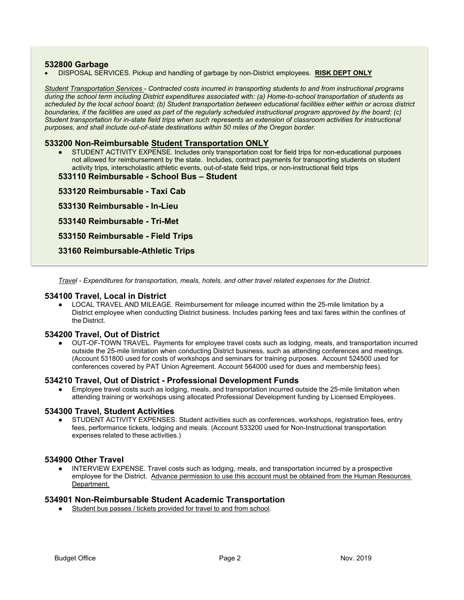#### **532800 Garbage**

• DISPOSAL SERVICES. Pickup and handling of garbage by non-District employees. **RISK DEPT ONLY**

*Student Transportation Services - Contracted costs incurred in transporting students to and from instructional programs during the school term including District expenditures associated with: (a) Home-to-school transportation of students as scheduled by the local school board; (b) Student transportation between educational facilities either within or across district*  boundaries, if the facilities are used as part of the regularly scheduled instructional program approved by the board; (c) *Student transportation for in-state field trips when such represents an extension of classroom activities for instructional purposes, and shall include out-of-state destinations within 50 miles of the Oregon border.*

#### **533200 Non-Reimbursable Student Transportation ONLY**

- STUDENT ACTIVITY EXPENSE. Includes only transportation cost for field trips for non-educational purposes not allowed for reimbursement by the state. Includes, contract payments for transporting students on student activity trips, interscholastic athletic events, out-of-state field trips, or non-instructional field trips
- **533110 Reimbursable - School Bus – Student**

**533120 Reimbursable - Taxi Cab** 

**533130 Reimbursable - In-Lieu** 

**533140 Reimbursable - Tri-Met** 

**533150 Reimbursable - Field Trips** 

**33160 Reimbursable-Athletic Trips** 

*Travel - Expenditures for transportation, meals, hotels, and other travel related expenses for the District.*

#### **534100 Travel, Local in District**

● LOCAL TRAVEL AND MILEAGE. Reimbursement for mileage incurred within the 25-mile limitation by a District employee when conducting District business. Includes parking fees and taxi fares within the confines of the District.

#### **534200 Travel, Out of District**

OUT-OF-TOWN TRAVEL. Payments for employee travel costs such as lodging, meals, and transportation incurred outside the 25-mile limitation when conducting District business, such as attending conferences and meetings. (Account 531800 used for costs of workshops and seminars for training purposes. Account 524500 used for conferences covered by PAT Union Agreement. Account 564000 used for dues and membership fees).

#### **534210 Travel, Out of District - Professional Development Funds**

Employee travel costs such as lodging, meals, and transportation incurred outside the 25-mile limitation when attending training or workshops using allocated Professional Development funding by Licensed Employees.

#### **534300 Travel, Student Activities**

STUDENT ACTIVITY EXPENSES. Student activities such as conferences, workshops, registration fees, entry fees, performance tickets, lodging and meals. (Account 533200 used for Non-Instructional transportation expenses related to these activities.)

#### **534900 Other Travel**

INTERVIEW EXPENSE. Travel costs such as lodging, meals, and transportation incurred by a prospective employee for the District. Advance permission to use this account must be obtained from the Human Resources Department.

#### **534901 Non-Reimbursable Student Academic Transportation**

Student bus passes / tickets provided for travel to and from school.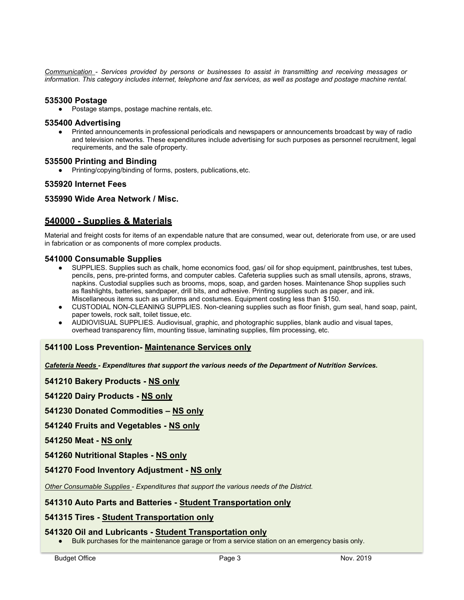*Communication - Services provided by persons or businesses to assist in transmitting and receiving messages or information. This category includes internet, telephone and fax services, as well as postage and postage machine rental.*

#### **535300 Postage**

● Postage stamps, postage machine rentals, etc.

#### **535400 Advertising**

Printed announcements in professional periodicals and newspapers or announcements broadcast by way of radio and television networks. These expenditures include advertising for such purposes as personnel recruitment, legal requirements, and the sale ofproperty.

#### **535500 Printing and Binding**

Printing/copying/binding of forms, posters, publications, etc.

# **535920 Internet Fees**

# **535990 Wide Area Network / Misc.**

# **540000 - Supplies & Materials**

Material and freight costs for items of an expendable nature that are consumed, wear out, deteriorate from use, or are used in fabrication or as components of more complex products.

# **541000 Consumable Supplies**<br>• SUPPLIES. Supplies such as

- SUPPLIES. Supplies such as chalk, home economics food, gas/ oil for shop equipment, paintbrushes, test tubes, pencils, pens, pre-printed forms, and computer cables. Cafeteria supplies such as small utensils, aprons, straws, napkins. Custodial supplies such as brooms, mops, soap, and garden hoses. Maintenance Shop supplies such as flashlights, batteries, sandpaper, drill bits, and adhesive. Printing supplies such as paper, and ink. Miscellaneous items such as uniforms and costumes. Equipment costing less than \$150.
- CUSTODIAL NON-CLEANING SUPPLIES. Non-cleaning supplies such as floor finish, gum seal, hand soap, paint, paper towels, rock salt, toilet tissue, etc.
- AUDIOVISUAL SUPPLIES. Audiovisual, graphic, and photographic supplies, blank audio and visual tapes, overhead transparency film, mounting tissue, laminating supplies, film processing, etc.

# **541100 Loss Prevention- Maintenance Services only**

*Cafeteria Needs - Expenditures that support the various needs of the Department of Nutrition Services.*

**541210 Bakery Products - NS only**

**541220 Dairy Products - NS only**

**541230 Donated Commodities – NS only**

**541240 Fruits and Vegetables - NS only**

**541250 Meat - NS only**

**541260 Nutritional Staples - NS only**

# **541270 Food Inventory Adjustment - NS only**

*Other Consumable Supplies - Expenditures that support the various needs of the District.*

# **541310 Auto Parts and Batteries - Student Transportation only**

# **541315 Tires - Student Transportation only**

# **541320 Oil and Lubricants - Student Transportation only**

• Bulk purchases for the maintenance garage or from a service station on an emergency basis only.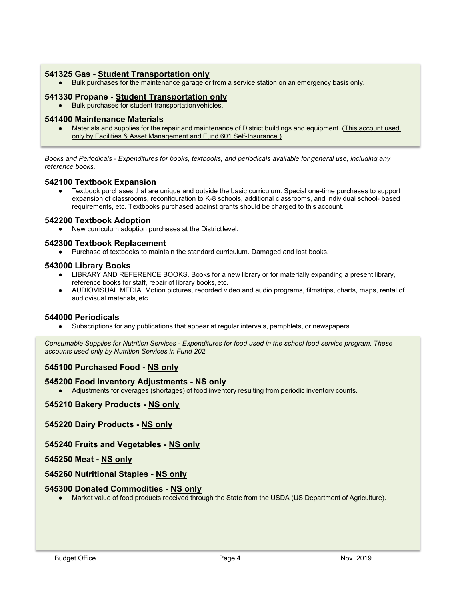# **541325 Gas - Student Transportation only**

● Bulk purchases for the maintenance garage or from a service station on an emergency basis only.

#### **541330 Propane - Student Transportation only**

● Bulk purchases for student transportationvehicles.

# **541400 Maintenance Materials**

Materials and supplies for the repair and maintenance of District buildings and equipment. (This account used only by Facilities & Asset Management and Fund 601 Self-Insurance.)

*Books and Periodicals - Expenditures for books, textbooks, and periodicals available for general use, including any reference books.*

# **542100 Textbook Expansion**

Textbook purchases that are unique and outside the basic curriculum. Special one-time purchases to support expansion of classrooms, reconfiguration to K-8 schools, additional classrooms, and individual school- based requirements, etc. Textbooks purchased against grants should be charged to this account.

# **542200 Textbook Adoption**

New curriculum adoption purchases at the Districtlevel.

# **542300 Textbook Replacement**

● Purchase of textbooks to maintain the standard curriculum. Damaged and lost books.

#### **543000 Library Books**

- LIBRARY AND REFERENCE BOOKS. Books for a new library or for materially expanding a present library, reference books for staff, repair of library books,etc.
- AUDIOVISUAL MEDIA. Motion pictures, recorded video and audio programs, filmstrips, charts, maps, rental of audiovisual materials, etc

#### **544000 Periodicals**

Subscriptions for any publications that appear at regular intervals, pamphlets, or newspapers.

*Consumable Supplies for Nutrition Services - Expenditures for food used in the school food service program. These accounts used only by Nutrition Services in Fund 202.*

# **545100 Purchased Food - NS only**

# **545200 Food Inventory Adjustments - NS only**

Adjustments for overages (shortages) of food inventory resulting from periodic inventory counts.

# **545210 Bakery Products - NS only**

# **545220 Dairy Products - NS only**

# **545240 Fruits and Vegetables - NS only**

# **545250 Meat - NS only**

# **545260 Nutritional Staples - NS only**

#### **545300 Donated Commodities - NS only**

● Market value of food products received through the State from the USDA (US Department of Agriculture).